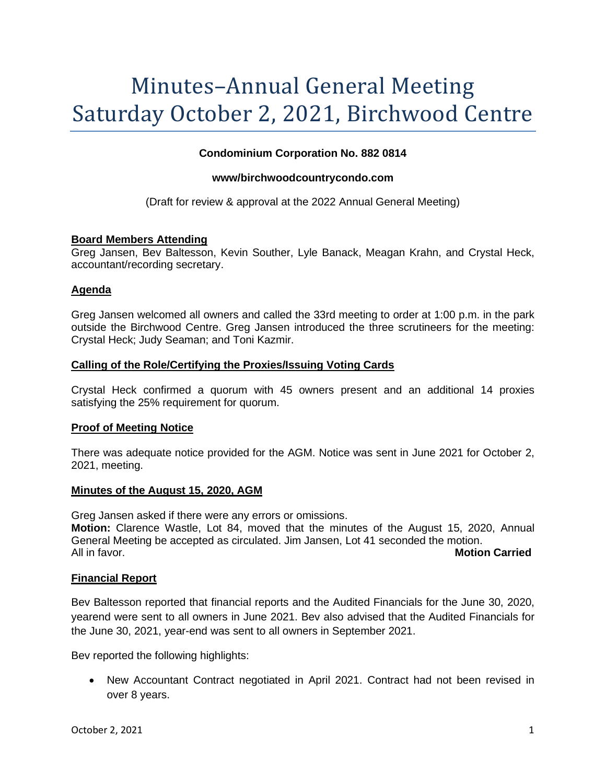# Minutes–Annual General Meeting Saturday October 2, 2021, Birchwood Centre

## **Condominium Corporation No. 882 0814**

## **www/birchwoodcountrycondo.com**

(Draft for review & approval at the 2022 Annual General Meeting)

## **Board Members Attending**

Greg Jansen, Bev Baltesson, Kevin Souther, Lyle Banack, Meagan Krahn, and Crystal Heck, accountant/recording secretary.

## **Agenda**

Greg Jansen welcomed all owners and called the 33rd meeting to order at 1:00 p.m. in the park outside the Birchwood Centre. Greg Jansen introduced the three scrutineers for the meeting: Crystal Heck; Judy Seaman; and Toni Kazmir.

## **Calling of the Role/Certifying the Proxies/Issuing Voting Cards**

Crystal Heck confirmed a quorum with 45 owners present and an additional 14 proxies satisfying the 25% requirement for quorum.

## **Proof of Meeting Notice**

There was adequate notice provided for the AGM. Notice was sent in June 2021 for October 2, 2021, meeting.

## **Minutes of the August 15, 2020, AGM**

Greg Jansen asked if there were any errors or omissions. **Motion:** Clarence Wastle, Lot 84, moved that the minutes of the August 15, 2020, Annual General Meeting be accepted as circulated. Jim Jansen, Lot 41 seconded the motion. All in favor. **Motion Carried**

## **Financial Report**

Bev Baltesson reported that financial reports and the Audited Financials for the June 30, 2020, yearend were sent to all owners in June 2021. Bev also advised that the Audited Financials for the June 30, 2021, year-end was sent to all owners in September 2021.

Bev reported the following highlights:

• New Accountant Contract negotiated in April 2021. Contract had not been revised in over 8 years.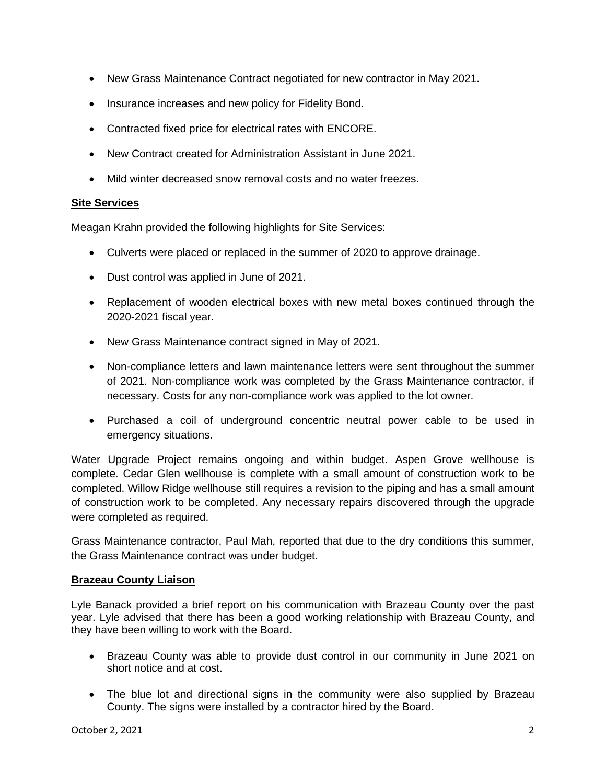- New Grass Maintenance Contract negotiated for new contractor in May 2021.
- Insurance increases and new policy for Fidelity Bond.
- Contracted fixed price for electrical rates with ENCORE.
- New Contract created for Administration Assistant in June 2021.
- Mild winter decreased snow removal costs and no water freezes.

# **Site Services**

Meagan Krahn provided the following highlights for Site Services:

- Culverts were placed or replaced in the summer of 2020 to approve drainage.
- Dust control was applied in June of 2021.
- Replacement of wooden electrical boxes with new metal boxes continued through the 2020-2021 fiscal year.
- New Grass Maintenance contract signed in May of 2021.
- Non-compliance letters and lawn maintenance letters were sent throughout the summer of 2021. Non-compliance work was completed by the Grass Maintenance contractor, if necessary. Costs for any non-compliance work was applied to the lot owner.
- Purchased a coil of underground concentric neutral power cable to be used in emergency situations.

Water Upgrade Project remains ongoing and within budget. Aspen Grove wellhouse is complete. Cedar Glen wellhouse is complete with a small amount of construction work to be completed. Willow Ridge wellhouse still requires a revision to the piping and has a small amount of construction work to be completed. Any necessary repairs discovered through the upgrade were completed as required.

Grass Maintenance contractor, Paul Mah, reported that due to the dry conditions this summer, the Grass Maintenance contract was under budget.

# **Brazeau County Liaison**

Lyle Banack provided a brief report on his communication with Brazeau County over the past year. Lyle advised that there has been a good working relationship with Brazeau County, and they have been willing to work with the Board.

- Brazeau County was able to provide dust control in our community in June 2021 on short notice and at cost.
- The blue lot and directional signs in the community were also supplied by Brazeau County. The signs were installed by a contractor hired by the Board.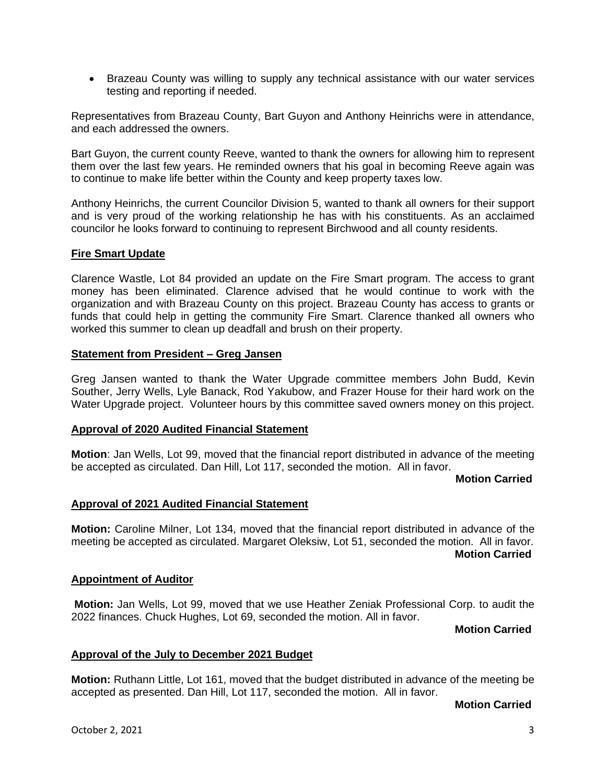• Brazeau County was willing to supply any technical assistance with our water services testing and reporting if needed.

Representatives from Brazeau County, Bart Guyon and Anthony Heinrichs were in attendance, and each addressed the owners.

Bart Guyon, the current county Reeve, wanted to thank the owners for allowing him to represent them over the last few years. He reminded owners that his goal in becoming Reeve again was to continue to make life better within the County and keep property taxes low.

Anthony Heinrichs, the current Councilor Division 5, wanted to thank all owners for their support and is very proud of the working relationship he has with his constituents. As an acclaimed councilor he looks forward to continuing to represent Birchwood and all county residents.

## **Fire Smart Update**

Clarence Wastle, Lot 84 provided an update on the Fire Smart program. The access to grant money has been eliminated. Clarence advised that he would continue to work with the organization and with Brazeau County on this project. Brazeau County has access to grants or funds that could help in getting the community Fire Smart. Clarence thanked all owners who worked this summer to clean up deadfall and brush on their property.

## **Statement from President – Greg Jansen**

Greg Jansen wanted to thank the Water Upgrade committee members John Budd, Kevin Souther, Jerry Wells, Lyle Banack, Rod Yakubow, and Frazer House for their hard work on the Water Upgrade project. Volunteer hours by this committee saved owners money on this project.

## **Approval of 2020 Audited Financial Statement**

**Motion**: Jan Wells, Lot 99, moved that the financial report distributed in advance of the meeting be accepted as circulated. Dan Hill, Lot 117, seconded the motion. All in favor.

#### **Motion Carried**

## **Approval of 2021 Audited Financial Statement**

**Motion:** Caroline Milner, Lot 134, moved that the financial report distributed in advance of the meeting be accepted as circulated. Margaret Oleksiw, Lot 51, seconded the motion. All in favor. **Motion Carried**

## **Appointment of Auditor**

**Motion:** Jan Wells, Lot 99, moved that we use Heather Zeniak Professional Corp. to audit the 2022 finances. Chuck Hughes, Lot 69, seconded the motion. All in favor.

**Motion Carried**

#### **Approval of the July to December 2021 Budget**

**Motion:** Ruthann Little, Lot 161, moved that the budget distributed in advance of the meeting be accepted as presented. Dan Hill, Lot 117, seconded the motion. All in favor.

## **Motion Carried**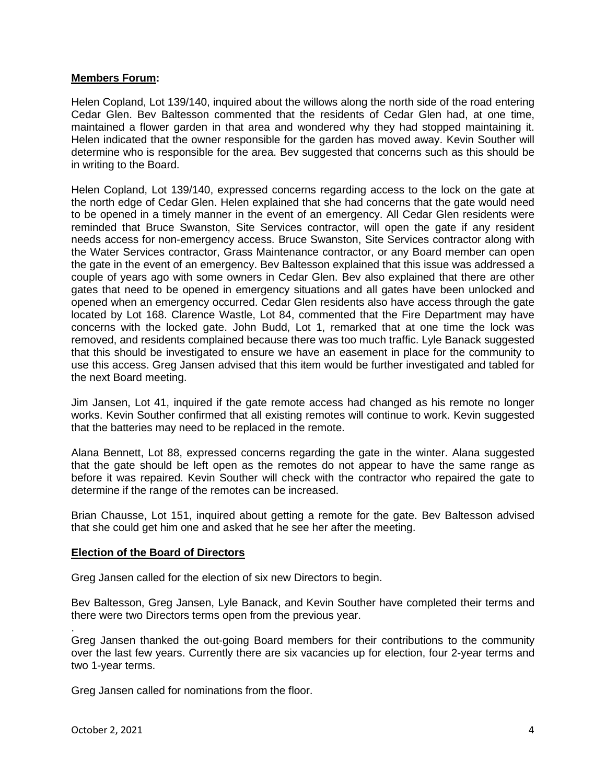## **Members Forum:**

Helen Copland, Lot 139/140, inquired about the willows along the north side of the road entering Cedar Glen. Bev Baltesson commented that the residents of Cedar Glen had, at one time, maintained a flower garden in that area and wondered why they had stopped maintaining it. Helen indicated that the owner responsible for the garden has moved away. Kevin Souther will determine who is responsible for the area. Bev suggested that concerns such as this should be in writing to the Board.

Helen Copland, Lot 139/140, expressed concerns regarding access to the lock on the gate at the north edge of Cedar Glen. Helen explained that she had concerns that the gate would need to be opened in a timely manner in the event of an emergency. All Cedar Glen residents were reminded that Bruce Swanston, Site Services contractor, will open the gate if any resident needs access for non-emergency access. Bruce Swanston, Site Services contractor along with the Water Services contractor, Grass Maintenance contractor, or any Board member can open the gate in the event of an emergency. Bev Baltesson explained that this issue was addressed a couple of years ago with some owners in Cedar Glen. Bev also explained that there are other gates that need to be opened in emergency situations and all gates have been unlocked and opened when an emergency occurred. Cedar Glen residents also have access through the gate located by Lot 168. Clarence Wastle, Lot 84, commented that the Fire Department may have concerns with the locked gate. John Budd, Lot 1, remarked that at one time the lock was removed, and residents complained because there was too much traffic. Lyle Banack suggested that this should be investigated to ensure we have an easement in place for the community to use this access. Greg Jansen advised that this item would be further investigated and tabled for the next Board meeting.

Jim Jansen, Lot 41, inquired if the gate remote access had changed as his remote no longer works. Kevin Souther confirmed that all existing remotes will continue to work. Kevin suggested that the batteries may need to be replaced in the remote.

Alana Bennett, Lot 88, expressed concerns regarding the gate in the winter. Alana suggested that the gate should be left open as the remotes do not appear to have the same range as before it was repaired. Kevin Souther will check with the contractor who repaired the gate to determine if the range of the remotes can be increased.

Brian Chausse, Lot 151, inquired about getting a remote for the gate. Bev Baltesson advised that she could get him one and asked that he see her after the meeting.

## **Election of the Board of Directors**

Greg Jansen called for the election of six new Directors to begin.

Bev Baltesson, Greg Jansen, Lyle Banack, and Kevin Souther have completed their terms and there were two Directors terms open from the previous year.

Greg Jansen thanked the out-going Board members for their contributions to the community over the last few years. Currently there are six vacancies up for election, four 2-year terms and two 1-year terms.

Greg Jansen called for nominations from the floor.

.